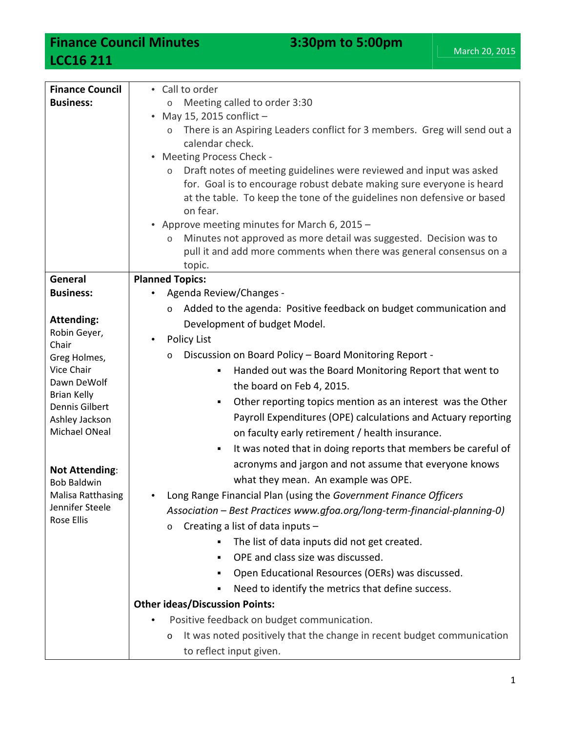**Finance Council Minutes 3:30pm to 5:00pm LCC16 211**

| <b>Finance Council</b>        | • Call to order                                                                   |
|-------------------------------|-----------------------------------------------------------------------------------|
| <b>Business:</b>              | Meeting called to order 3:30<br>$\circ$                                           |
|                               | May 15, 2015 conflict -                                                           |
|                               | There is an Aspiring Leaders conflict for 3 members. Greg will send out a         |
|                               | calendar check.                                                                   |
|                               | <b>Meeting Process Check -</b>                                                    |
|                               | Draft notes of meeting guidelines were reviewed and input was asked<br>$\circ$    |
|                               | for. Goal is to encourage robust debate making sure everyone is heard             |
|                               | at the table. To keep the tone of the guidelines non defensive or based           |
|                               | on fear.                                                                          |
|                               | • Approve meeting minutes for March 6, 2015 -                                     |
|                               | Minutes not approved as more detail was suggested. Decision was to<br>$\circ$     |
|                               | pull it and add more comments when there was general consensus on a               |
|                               | topic.                                                                            |
| General                       | <b>Planned Topics:</b>                                                            |
| <b>Business:</b>              | Agenda Review/Changes -                                                           |
|                               | Added to the agenda: Positive feedback on budget communication and<br>$\circ$     |
| <b>Attending:</b>             | Development of budget Model.                                                      |
| Robin Geyer,                  | Policy List                                                                       |
| Chair                         | Discussion on Board Policy - Board Monitoring Report -                            |
| Greg Holmes,                  | $\circ$                                                                           |
| Vice Chair<br>Dawn DeWolf     | Handed out was the Board Monitoring Report that went to<br>٠                      |
| <b>Brian Kelly</b>            | the board on Feb 4, 2015.                                                         |
| <b>Dennis Gilbert</b>         | Other reporting topics mention as an interest was the Other<br>٠                  |
| Ashley Jackson                | Payroll Expenditures (OPE) calculations and Actuary reporting                     |
| Michael ONeal                 | on faculty early retirement / health insurance.                                   |
|                               | It was noted that in doing reports that members be careful of<br>٠                |
|                               | acronyms and jargon and not assume that everyone knows                            |
| <b>Not Attending:</b>         |                                                                                   |
| <b>Bob Baldwin</b>            | what they mean. An example was OPE.                                               |
| <b>Malisa Ratthasing</b>      | Long Range Financial Plan (using the Government Finance Officers                  |
| Jennifer Steele<br>Rose Ellis | Association - Best Practices www.gfoa.org/long-term-financial-planning-0)         |
|                               | Creating a list of data inputs -<br>$\circ$                                       |
|                               | The list of data inputs did not get created.<br>٠                                 |
|                               | OPE and class size was discussed.<br>٠                                            |
|                               | Open Educational Resources (OERs) was discussed.<br>٠                             |
|                               | Need to identify the metrics that define success.<br>٠                            |
|                               | <b>Other ideas/Discussion Points:</b>                                             |
|                               |                                                                                   |
|                               | Positive feedback on budget communication.                                        |
|                               | It was noted positively that the change in recent budget communication<br>$\circ$ |
|                               | to reflect input given.                                                           |